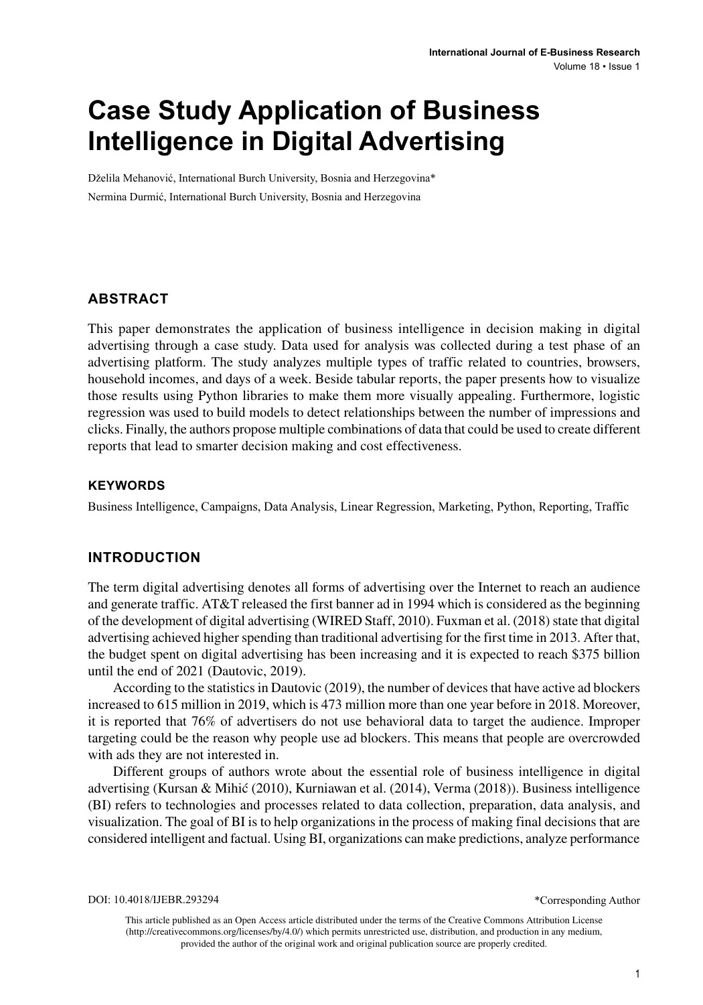# **Case Study Application of Business Intelligence in Digital Advertising**

Dželila Mehanović, International Burch University, Bosnia and Herzegovina\* Nermina Durmić, International Burch University, Bosnia and Herzegovina

### **ABSTRACT**

This paper demonstrates the application of business intelligence in decision making in digital advertising through a case study. Data used for analysis was collected during a test phase of an advertising platform. The study analyzes multiple types of traffic related to countries, browsers, household incomes, and days of a week. Beside tabular reports, the paper presents how to visualize those results using Python libraries to make them more visually appealing. Furthermore, logistic regression was used to build models to detect relationships between the number of impressions and clicks. Finally, the authors propose multiple combinations of data that could be used to create different reports that lead to smarter decision making and cost effectiveness.

### **Keywords**

Business Intelligence, Campaigns, Data Analysis, Linear Regression, Marketing, Python, Reporting, Traffic

### **INTRODUCTION**

The term digital advertising denotes all forms of advertising over the Internet to reach an audience and generate traffic. AT&T released the first banner ad in 1994 which is considered as the beginning of the development of digital advertising (WIRED Staff, 2010). Fuxman et al. (2018) state that digital advertising achieved higher spending than traditional advertising for the first time in 2013. After that, the budget spent on digital advertising has been increasing and it is expected to reach \$375 billion until the end of 2021 (Dautovic, 2019).

According to the statistics in Dautovic (2019), the number of devices that have active ad blockers increased to 615 million in 2019, which is 473 million more than one year before in 2018. Moreover, it is reported that 76% of advertisers do not use behavioral data to target the audience. Improper targeting could be the reason why people use ad blockers. This means that people are overcrowded with ads they are not interested in.

Different groups of authors wrote about the essential role of business intelligence in digital advertising (Kursan & Mihić (2010), Kurniawan et al. (2014), Verma (2018)). Business intelligence (BI) refers to technologies and processes related to data collection, preparation, data analysis, and visualization. The goal of BI is to help organizations in the process of making final decisions that are considered intelligent and factual. Using BI, organizations can make predictions, analyze performance

\*Corresponding Author

This article published as an Open Access article distributed under the terms of the Creative Commons Attribution License (http://creativecommons.org/licenses/by/4.0/) which permits unrestricted use, distribution, and production in any medium, provided the author of the original work and original publication source are properly credited.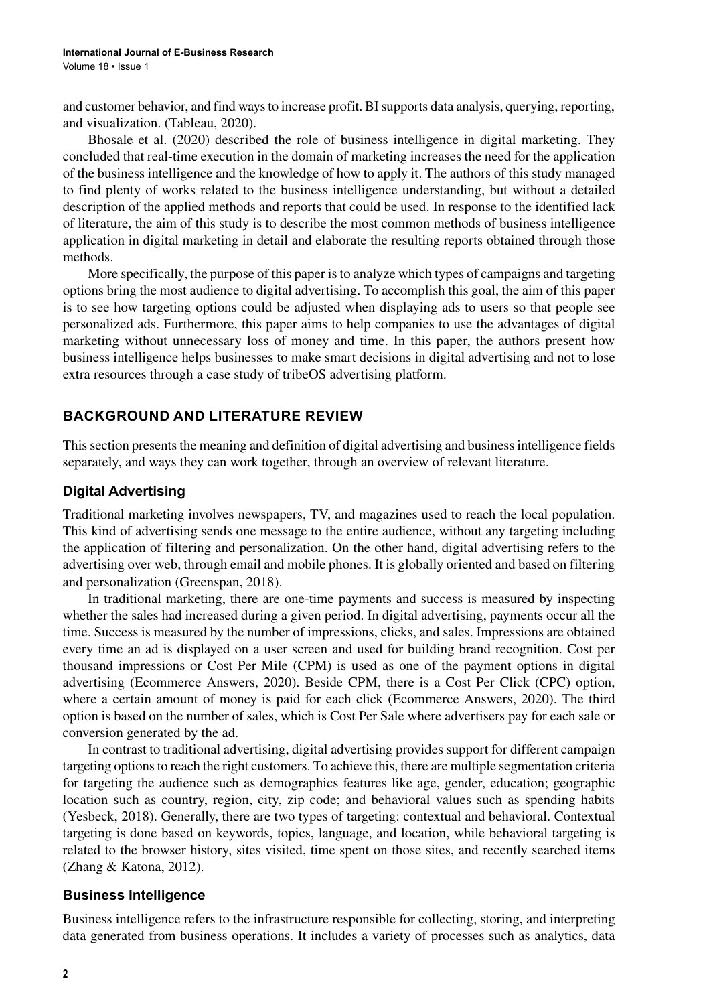and customer behavior, and find ways to increase profit. BI supports data analysis, querying, reporting, and visualization. (Tableau, 2020).

Bhosale et al. (2020) described the role of business intelligence in digital marketing. They concluded that real-time execution in the domain of marketing increases the need for the application of the business intelligence and the knowledge of how to apply it. The authors of this study managed to find plenty of works related to the business intelligence understanding, but without a detailed description of the applied methods and reports that could be used. In response to the identified lack of literature, the aim of this study is to describe the most common methods of business intelligence application in digital marketing in detail and elaborate the resulting reports obtained through those methods.

More specifically, the purpose of this paper is to analyze which types of campaigns and targeting options bring the most audience to digital advertising. To accomplish this goal, the aim of this paper is to see how targeting options could be adjusted when displaying ads to users so that people see personalized ads. Furthermore, this paper aims to help companies to use the advantages of digital marketing without unnecessary loss of money and time. In this paper, the authors present how business intelligence helps businesses to make smart decisions in digital advertising and not to lose extra resources through a case study of tribeOS advertising platform.

### **Background AND LITERATURE REVIEW**

This section presents the meaning and definition of digital advertising and business intelligence fields separately, and ways they can work together, through an overview of relevant literature.

### **Digital Advertising**

Traditional marketing involves newspapers, TV, and magazines used to reach the local population. This kind of advertising sends one message to the entire audience, without any targeting including the application of filtering and personalization. On the other hand, digital advertising refers to the advertising over web, through email and mobile phones. It is globally oriented and based on filtering and personalization (Greenspan, 2018).

In traditional marketing, there are one-time payments and success is measured by inspecting whether the sales had increased during a given period. In digital advertising, payments occur all the time. Success is measured by the number of impressions, clicks, and sales. Impressions are obtained every time an ad is displayed on a user screen and used for building brand recognition. Cost per thousand impressions or Cost Per Mile (CPM) is used as one of the payment options in digital advertising (Ecommerce Answers, 2020). Beside CPM, there is a Cost Per Click (CPC) option, where a certain amount of money is paid for each click (Ecommerce Answers, 2020). The third option is based on the number of sales, which is Cost Per Sale where advertisers pay for each sale or conversion generated by the ad.

In contrast to traditional advertising, digital advertising provides support for different campaign targeting options to reach the right customers. To achieve this, there are multiple segmentation criteria for targeting the audience such as demographics features like age, gender, education; geographic location such as country, region, city, zip code; and behavioral values such as spending habits (Yesbeck, 2018). Generally, there are two types of targeting: contextual and behavioral. Contextual targeting is done based on keywords, topics, language, and location, while behavioral targeting is related to the browser history, sites visited, time spent on those sites, and recently searched items (Zhang & Katona, 2012).

#### **Business Intelligence**

Business intelligence refers to the infrastructure responsible for collecting, storing, and interpreting data generated from business operations. It includes a variety of processes such as analytics, data